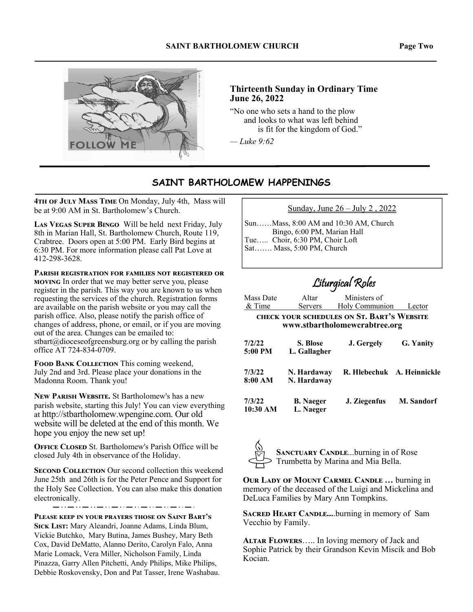

### **Thirteenth Sunday in Ordinary Time June 26, 2022**

"No one who sets a hand to the plow and looks to what was left behind is fit for the kingdom of God."

*— Luke 9:62*

## **SAINT BARTHOLOMEW HAPPENINGS**

4TH OF JULY MASS TIME On Monday, July 4th, Mass will be at 9:00 AM in St. Bartholomew's Church.

LAS VEGAS SUPER BINGO Will be held next Friday, July 8th in Marian Hall, St. Bartholomew Church, Route 119, Crabtree. Doors open at 5:00 PM. Early Bird begins at 6:30 PM. For more information please call Pat Love at 412-298-3628.

PARISH REGISTRATION FOR FAMILIES NOT REGISTERED OR **MOVING** In order that we may better serve you, please register in the parish. This way you are known to us when requesting the services of the church. Registration forms are available on the parish website or you may call the parish office. Also, please notify the parish office of changes of address, phone, or email, or if you are moving out of the area. Changes can be emailed to: stbart@dioceseofgreensburg.org or by calling the parish office AT 724-834-0709.

FOOD BANK COLLECTION This coming weekend, July 2nd and 3rd. Please place your donations in the Madonna Room. Thank you!

NEW PARISH WEBSITE. St Bartholomew's has a new parish website, starting this July! You can view everything at http://stbartholomew.wpengine.com. Our old website will be deleted at the end of this month. We hope you enjoy the new set up!

**OFFICE CLOSED** St. Bartholomew's Parish Office will be closed July 4th in observance of the Holiday.

**SECOND COLLECTION** Our second collection this weekend June 25th and 26th is for the Peter Pence and Support for the Holy See Collection. You can also make this donation electronically.

PLEASE KEEP IN YOUR PRAYERS THOSE ON SAINT BART'S SICK LIST: Mary Aleandri, Joanne Adams, Linda Blum, Vickie Butchko, Mary Butina, James Bushey, Mary Beth Cox, David DeMatto, Alanno Derito, Carolyn Falo, Anna Marie Lomack, Vera Miller, Nicholson Family, Linda Pinazza, Garry Allen Pitchetti, Andy Philips, Mike Philips, Debbie Roskovensky, Don and Pat Tasser, Irene Washabau.

| Sunday, June $26 -$ July 2, 2022 |  |
|----------------------------------|--|
|                                  |  |

Sun……Mass, 8:00 AM and 10:30 AM, Church Bingo, 6:00 PM, Marian Hall Tue….. Choir, 6:30 PM, Choir Loft Sat……. Mass, 5:00 PM, Church

# Liturgical Roles

| Mass Date           | Altar                         | Ministers of                                                                       |               |
|---------------------|-------------------------------|------------------------------------------------------------------------------------|---------------|
| $&$ Time            | <b>Servers</b>                | <b>Holy Communion</b>                                                              | Lector        |
|                     |                               | <b>CHECK YOUR SCHEDULES ON ST. BART'S WEBSITE</b><br>www.stbartholomewcrabtree.org |               |
| 7/2/22<br>$5:00$ PM | S. Blose<br>L. Gallagher      | J. Gergely                                                                         | G. Yanity     |
| 7/3/22<br>8:00 AM   | N. Hardaway<br>N. Hardaway    | R. Hlebechuk                                                                       | A. Heinnickle |
| 7/3/22<br>10:30 AM  | <b>B.</b> Naeger<br>L. Naeger | J. Ziegenfus                                                                       | M. Sandorf    |



**SANCTUARY CANDLE...burning in of Rose** Trumbetta by Marina and Mia Bella.

**OUR LADY OF MOUNT CARMEL CANDLE ... burning in** memory of the deceased of the Luigi and Mickelina and DeLuca Families by Mary Ann Tompkins.

**SACRED HEART CANDLE....burning in memory of Sam** Vecchio by Family.

ALTAR FLOWERS..... In loving memory of Jack and Sophie Patrick by their Grandson Kevin Miscik and Bob Kocian.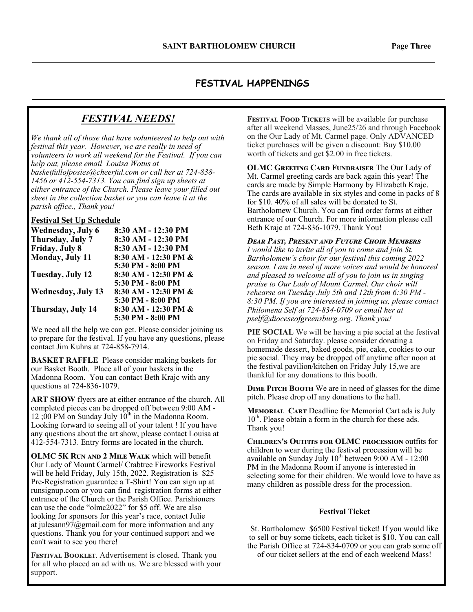## **FESTIVAL HAPPENINGS**

## *FESTIVAL NEEDS!*

*We thank all of those that have volunteered to help out with festival this year. However, we are really in need of volunteers to work all weekend for the Festival. If you can help out, please email Louisa Wotus at basketfullofposies@cheerful.com or call her at 724-838- 1456 or 412-554-7313. You can find sign up sheets at either entrance of the Church. Please leave your filled out sheet in the collection basket or you can leave it at the parish office., Thank you!* 

#### **Festival Set Up Schedule**

| Wednesday, July 6         | 8:30 AM - 12:30 PM   |
|---------------------------|----------------------|
| Thursday, July 7          | 8:30 AM - 12:30 PM   |
| Friday, July 8            | 8:30 AM - 12:30 PM   |
| Monday, July 11           | 8:30 AM - 12:30 PM & |
|                           | 5:30 PM - 8:00 PM    |
| Tuesday, July 12          | 8:30 AM - 12:30 PM & |
|                           | 5:30 PM - 8:00 PM    |
| <b>Wednesday, July 13</b> | 8:30 AM - 12:30 PM & |
|                           | 5:30 PM - 8:00 PM    |
| Thursday, July 14         | 8:30 AM - 12:30 PM & |
|                           | 5:30 PM - 8:00 PM    |

We need all the help we can get. Please consider joining us to prepare for the festival. If you have any questions, please contact Jim Kuhns at 724-858-7914.

**BASKET RAFFLE** Please consider making baskets for our Basket Booth. Place all of your baskets in the Madonna Room. You can contact Beth Krajc with any questions at 724-836-1079.

**ART SHOW** flyers are at either entrance of the church. All completed pieces can be dropped off between 9:00 AM - 12 ;00 PM on Sunday July  $10^{th}$  in the Madonna Room. Looking forward to seeing all of your talent ! If you have any questions about the art show, please contact Louisa at 412-554-7313. Entry forms are located in the church.

**OLMC 5K RUN AND 2 MILE WALK** which will benefit Our Lady of Mount Carmel/ Crabtree Fireworks Festival will be held Friday, July 15th, 2022. Registration is \$25 Pre-Registration guarantee a T-Shirt! You can sign up at runsignup.com or you can find registration forms at either entrance of the Church or the Parish Office. Parishioners can use the code "olmc2022" for \$5 off. We are also looking for sponsors for this year's race, contact Julie at julesann97@gmail.com for more information and any questions. Thank you for your continued support and we can't wait to see you there!

**FESTIVAL BOOKLET.** Advertisement is closed. Thank you for all who placed an ad with us. We are blessed with your support.

FESTIVAL FOOD TICKETS will be available for purchase after all weekend Masses, June25/26 and through Facebook on the Our Lady of Mt. Carmel page. Only ADVANCED ticket purchases will be given a discount: Buy \$10.00 worth of tickets and get \$2.00 in free tickets.

**OLMC GREETING CARD FUNDRAISER The Our Lady of** Mt. Carmel greeting cards are back again this year! The cards are made by Simple Harmony by Elizabeth Krajc. The cards are available in six styles and come in packs of 8 for \$10. 40% of all sales will be donated to St. Bartholomew Church. You can find order forms at either entrance of our Church. For more information please call Beth Krajc at 724-836-1079. Thank You!

#### *DEAR PAST, PRESENT AND FUTURE CHOIR MEMBERS*

*I would like to invite all of you to come and join St. Bartholomew's choir for our festival this coming 2022 season. I am in need of more voices and would be honored and pleased to welcome all of you to join us in singing praise to Our Lady of Mount Carmel. Our choir will rehearse on Tuesday July 5th and 12th from 6:30 PM - 8:30 PM. If you are interested in joining us, please contact Philomena Self at 724-834-0709 or email her at pself@dioceseofgreensburg.org. Thank you!* 

**PIE SOCIAL** We will be having a pie social at the festival on Friday and Saturday. please consider donating a homemade dessert, baked goods, pie, cake, cookies to our pie social. They may be dropped off anytime after noon at the festival pavilion/kitchen on Friday July 15,we are thankful for any donations to this booth.

**DIME PITCH BOOTH** We are in need of glasses for the dime pitch. Please drop off any donations to the hall.

**MEMORIAL CART Deadline for Memorial Cart ads is July** 10<sup>th</sup>. Please obtain a form in the church for these ads. Thank you!

**CHILDREN'S OUTFITS FOR OLMC PROCESSION outfits for** children to wear during the festival procession will be available on Sunday July  $10^{th}$  between 9:00 AM - 12:00 PM in the Madonna Room if anyone is interested in selecting some for their children. We would love to have as many children as possible dress for the procession.

#### **Festival Ticket**

St. Bartholomew \$6500 Festival ticket! If you would like to sell or buy some tickets, each ticket is \$10. You can call the Parish Office at 724-834-0709 or you can grab some off of our ticket sellers at the end of each weekend Mass!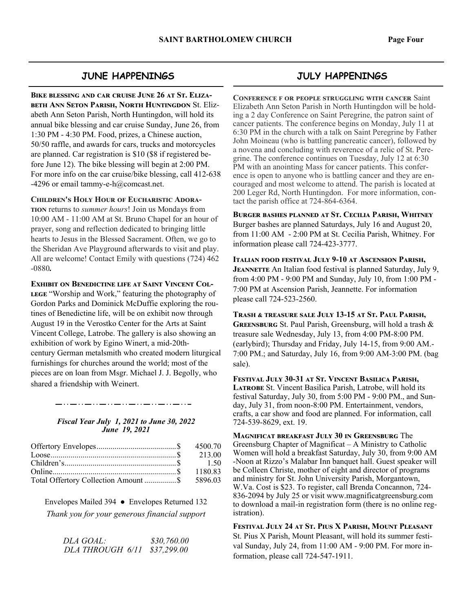#### **JUNE HAPPENINGS**

BIKE BLESSING AND CAR CRUISE JUNE 26 AT ST. ELIZA-**BETH ANN SETON PARISH, NORTH HUNTINGDON St. Eliz**abeth Ann Seton Parish, North Huntingdon, will hold its annual bike blessing and car cruise Sunday, June 26, from 1:30 PM - 4:30 PM. Food, prizes, a Chinese auction, 50/50 raffle, and awards for cars, trucks and motorcycles are planned. Car registration is \$10 (\$8 if registered before June 12). The bike blessing will begin at 2:00 PM. For more info on the car cruise/bike blessing, call 412-638 -4296 or email tammy-e-h $@$ comcast.net.

**CHILDREN'S HOLY HOUR OF EUCHARISTIC ADORA-**

**TION** returns to *summer hours*! Join us Mondays from 10:00 AM - 11:00 AM at St. Bruno Chapel for an hour of prayer, song and reflection dedicated to bringing little hearts to Jesus in the Blessed Sacrament. Often, we go to the Sheridan Ave Playground afterwards to visit and play. All are welcome! Contact Emily with questions (724) 462 -0880*.* 

**EXHIBIT ON BENEDICTINE LIFE AT SAINT VINCENT COL-**

LEGE "Worship and Work," featuring the photography of Gordon Parks and Dominick McDuffie exploring the routines of Benedictine life, will be on exhibit now through August 19 in the Verostko Center for the Arts at Saint Vincent College, Latrobe. The gallery is also showing an exhibition of work by Egino Winert, a mid-20thcentury German metalsmith who created modern liturgical furnishings for churches around the world; most of the pieces are on loan from Msgr. Michael J. J. Begolly, who shared a friendship with Weinert.

#### *Fiscal Year July 1, 2021 to June 30, 2022 June 19, 2021*

| Total Offertory Collection Amount \$ 5896.03 |  |
|----------------------------------------------|--|

Envelopes Mailed 394 ● Envelopes Returned 132 *Thank you for your generous financial support* 

> *DLA GOAL: \$30,760.00 DLA THROUGH 6/11 \$37,299.00*

## **JULY HAPPENINGS**

**CONFERENCE F OR PEOPLE STRUGGLING WITH CANCER Saint** Elizabeth Ann Seton Parish in North Huntingdon will be holding a 2 day Conference on Saint Peregrine, the patron saint of cancer patients. The conference begins on Monday, July 11 at 6:30 PM in the church with a talk on Saint Peregrine by Father John Moineau (who is battling pancreatic cancer), followed by a novena and concluding with reverence of a relic of St. Peregrine. The conference continues on Tuesday, July 12 at 6:30 PM with an anointing Mass for cancer patients. This conference is open to anyone who is battling cancer and they are encouraged and most welcome to attend. The parish is located at 200 Leger Rd, North Huntingdon. For more information, contact the parish office at 724-864-6364.

BURGER BASHES PLANNED AT ST. CECILIA PARISH, WHITNEY Burger bashes are planned Saturdays, July 16 and August 20, from 11:00 AM - 2:00 PM at St. Cecilia Parish, Whitney. For information please call 724-423-3777.

**ITALIAN FOOD FESTIVAL JULY 9-10 AT ASCENSION PARISH, JEANNETTE** An Italian food festival is planned Saturday, July 9, from 4:00 PM - 9:00 PM and Sunday, July 10, from 1:00 PM - 7:00 PM at Ascension Parish, Jeannette. For information please call 724-523-2560.

TRASH & TREASURE SALE JULY 13-15 AT ST. PAUL PARISH. **GREENSBURG** St. Paul Parish, Greensburg, will hold a trash & treasure sale Wednesday, July 13, from 4:00 PM-8:00 PM. (earlybird); Thursday and Friday, July 14-15, from 9:00 AM.- 7:00 PM.; and Saturday, July 16, from 9:00 AM-3:00 PM. (bag sale).

Festival July 30-31 at St. Vincent Basilica Parish. LATROBE St. Vincent Basilica Parish, Latrobe, will hold its festival Saturday, July 30, from 5:00 PM - 9:00 PM., and Sunday, July 31, from noon-8:00 PM. Entertainment, vendors, crafts, a car show and food are planned. For information, call 724-539-8629, ext. 19.

**MAGNIFICAT BREAKFAST JULY 30 IN GREENSBURG** The Greensburg Chapter of Magnificat – A Ministry to Catholic Women will hold a breakfast Saturday, July 30, from 9:00 AM -Noon at Rizzo's Malabar Inn banquet hall. Guest speaker will be Colleen Christe, mother of eight and director of programs and ministry for St. John University Parish, Morgantown, W.Va. Cost is \$23. To register, call Brenda Concannon, 724- 836-2094 by July 25 or visit www.magnificatgreensburg.com to download a mail-in registration form (there is no online registration).

FESTIVAL JULY 24 AT ST. PIUS X PARISH, MOUNT PLEASANT St. Pius X Parish, Mount Pleasant, will hold its summer festival Sunday, July 24, from 11:00 AM - 9:00 PM. For more information, please call 724-547-1911.